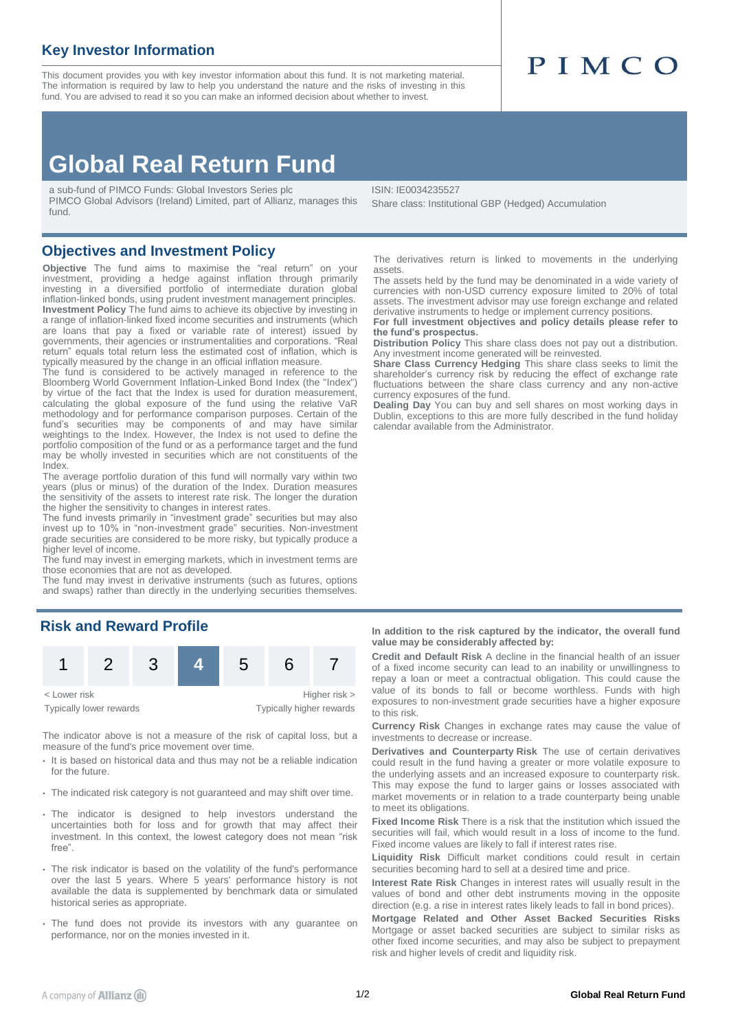# **Key Investor Information**

This document provides you with key investor information about this fund. It is not marketing material. The information is required by law to help you understand the nature and the risks of investing in this fund. You are advised to read it so you can make an informed decision about whether to invest.

# PIMCO

# **Global Real Return Fund**

a sub-fund of PIMCO Funds: Global Investors Series plc PIMCO Global Advisors (Ireland) Limited, part of Allianz, manages this fund.

**Objectives and Investment Policy**

**Objective** The fund aims to maximise the "real return" on your investment, providing a hedge against inflation through primarily investing in a diversified portfolio of intermediate duration global inflation-linked bonds, using prudent investment management principles. **Investment Policy** The fund aims to achieve its objective by investing in a range of inflation-linked fixed income securities and instruments (which are loans that pay a fixed or variable rate of interest) issued by governments, their agencies or instrumentalities and corporations. "Real return" equals total return less the estimated cost of inflation, which is typically measured by the change in an official inflation measure.

The fund is considered to be actively managed in reference to the Bloomberg World Government Inflation-Linked Bond Index (the "Index") by virtue of the fact that the Index is used for duration measurement, calculating the global exposure of the fund using the relative VaR methodology and for performance comparison purposes. Certain of the fund's securities may be components of and may have similar weightings to the Index. However, the Index is not used to define the portfolio composition of the fund or as a performance target and the fund may be wholly invested in securities which are not constituents of the Index.

The average portfolio duration of this fund will normally vary within two years (plus or minus) of the duration of the Index. Duration measures the sensitivity of the assets to interest rate risk. The longer the duration the higher the sensitivity to changes in interest rates.

The fund invests primarily in "investment grade" securities but may also invest up to 10% in "non-investment grade" securities. Non-investment grade securities are considered to be more risky, but typically produce a higher level of income.

The fund may invest in emerging markets, which in investment terms are those economies that are not as developed.

The fund may invest in derivative instruments (such as futures, options and swaps) rather than directly in the underlying securities themselves.

## **Risk and Reward Profile**



The indicator above is not a measure of the risk of capital loss, but a measure of the fund's price movement over time.

- It is based on historical data and thus may not be a reliable indication for the future.
- The indicated risk category is not guaranteed and may shift over time.
- The indicator is designed to help investors understand the uncertainties both for loss and for growth that may affect their investment. In this context, the lowest category does not mean "risk free".
- The risk indicator is based on the volatility of the fund's performance over the last 5 years. Where 5 years' performance history is not available the data is supplemented by benchmark data or simulated historical series as appropriate.
- The fund does not provide its investors with any guarantee on performance, nor on the monies invested in it.

ISIN: IE0034235527

Share class: Institutional GBP (Hedged) Accumulation

The derivatives return is linked to movements in the underlying assets.

The assets held by the fund may be denominated in a wide variety of currencies with non-USD currency exposure limited to 20% of total assets. The investment advisor may use foreign exchange and related derivative instruments to hedge or implement currency positions.

**For full investment objectives and policy details please refer to the fund's prospectus.**

**Distribution Policy** This share class does not pay out a distribution. Any investment income generated will be reinvested.

**Share Class Currency Hedging** This share class seeks to limit the shareholder's currency risk by reducing the effect of exchange rate fluctuations between the share class currency and any non-active currency exposures of the fund.

**Dealing Day** You can buy and sell shares on most working days in Dublin, exceptions to this are more fully described in the fund holiday calendar available from the Administrator.

**In addition to the risk captured by the indicator, the overall fund value may be considerably affected by:**

**Credit and Default Risk** A decline in the financial health of an issuer of a fixed income security can lead to an inability or unwillingness to repay a loan or meet a contractual obligation. This could cause the value of its bonds to fall or become worthless. Funds with high exposures to non-investment grade securities have a higher exposure to this risk.

**Currency Risk** Changes in exchange rates may cause the value of investments to decrease or increase.

**Derivatives and Counterparty Risk** The use of certain derivatives could result in the fund having a greater or more volatile exposure to the underlying assets and an increased exposure to counterparty risk. This may expose the fund to larger gains or losses associated with market movements or in relation to a trade counterparty being unable to meet its obligations.

**Fixed Income Risk** There is a risk that the institution which issued the securities will fail, which would result in a loss of income to the fund. Fixed income values are likely to fall if interest rates rise.

**Liquidity Risk** Difficult market conditions could result in certain securities becoming hard to sell at a desired time and price.

**Interest Rate Risk** Changes in interest rates will usually result in the values of bond and other debt instruments moving in the opposite direction (e.g. a rise in interest rates likely leads to fall in bond prices).

**Mortgage Related and Other Asset Backed Securities Risks** Mortgage or asset backed securities are subject to similar risks as other fixed income securities, and may also be subject to prepayment risk and higher levels of credit and liquidity risk.

Typically lower rewards Typically higher rewards